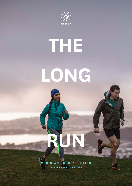

# **THE LONG**

**MERIDIAN ENERGY LIMITED INVESTOR LETTER**

**RUN**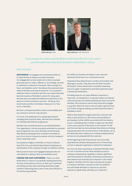

# Clean energy for a fairer and healthier world embodies the core values and the behaviours that lie at the heart of Meridian's culture.

## Dear Investor

**OUR PEOPLE.** An engaged and committed workforce is really the key to being a successful business. Our engagement survey results tell us that our people genuinely want to make a difference. Accordingly, we have re-defined our statement of purpose 'Clean energy for a fairer and healthier world'. We believe this statement best reflects Meridian and what we stand for. It is a powerful statement that is consistent with the core values that have been the essence of Meridian's culture for many years. We have also articulated the behaviours that bind us and allow us to hold ourselves to account – Be Gutsy, Be a Good Human and Be in the Waka. Simply put it is 'how to be' in Meridian.

We have a strong and positive culture around safety and we continue to drive for improvement.

Of course, the wellbeing of our people goes beyond managing their physical safety. We have also invested in a multifaceted wellness programme.

Meridian also recently became an accredited Rainbow Tick organisation. And we voluntarily extended our parental leave programme top-up for Meridian and Powershop New Zealand employees from 12 weeks to 22 weeks as part of our drive to bring more women into the Company's senior leadership ranks.

Our people are highly committed, so much so that we have 50% of our permanent New Zealand employees as shareholders of the company through our *MyShare* scheme.

We're proud to have such engaged employees who are committed to creating a fairer and healthier world.

**CARING FOR OUR CUSTOMERS.** There is no silver bullet when it comes to successfully retailing electricity. Success comes when you focus on what your customers are telling you they value and being absolutely singleminded in delivering that to them in the most efficient or frictionless way possible.

Our ability to innovate and adapt to new customer demands will be key to our continued success.

Powershop New Zealand took a number of innovative new offerings to market. They also won the *2018 Consumer NZ People's Choice Award* and in Australia Powershop was once again recognised as Australia's greenest power company by Greenpeace.

Providing value for our many different customers is important, and doing this in a way that makes sure that all customer groups are treated equitably has been a focus for Meridian. We continue to ensure that those who struggle to pay their bills from time to time are able to get the most out of their energy by making sure that they know what is available to them.

NZAS is New Zealand's largest electricity customer and when it approached us in 2017 about the possibility of purchasing a further 50MW, we worked with the industry to put a compelling offer to NZAS. A large user like NZAS could cause a period of disruption to the market if it left and this new deal has demonstrated that NZAS are thinking expansively about the economic future of the facility. All up the NZAS deal was complex as it involved multiple parties and we are very pleased with the outcome.

At the beginning of the financial year we structurally separated the software development arm of Powershop out into a separate organisation named Flux Federation.

Flux has now been operating as a separate Meridian entity for over 12 months and has demonstrated success in scaling its development capability to deliver significant new functionality for Meridian's Powershop businesses in New Zealand and Australia and to Npower in the United Kingdom. Meridian and Flux have commenced a project to transition Meridian customers to the Flux platform. Flux will enable Meridian to improve its customer experience significantly, allowing us to respond to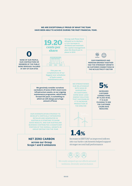# **WE ARE EXCEPTIONALLY PROUD OF WHAT THE TEAM HAVE BEEN ABLE TO ACHIEVE DURING THE PAST FINANCIAL YEAR.**

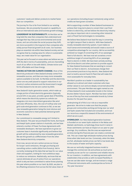customers' needs and deliver products to market faster than our competition.

The journey for Flux is far from limited to our existing businesses. We are presently focussed on capability to drive an international sales and business growth strategy.

**LEADERSHIP IN SUSTAINABILITY.** At Meridian we've long held the view that companies that understand and manage their key risks across environmental and social issues, and can articulate the social purpose they fulfil, are more successful in the long term than companies who solely pursue financial growth at all costs. Our business plays an essential role within New Zealand society and we recognise that by creating value for others in sustainable ways, we create value for our organisation.

This year we've focused on areas where we believe we can shift the dial in terms of sustainability, and are channelling much of our effort in line with SDG13, Climate Action and SDG7, Affordable and Clean Energy.

**TAKING ACTION ON CLIMATE CHANGE.** Most of the electricity produced in New Zealand already comes from renewable sources, and there are many more renewable options available to be built. So Meridian and the electricity sector are very well placed to support reductions in our country's carbon emissions and the Government's target for New Zealand to be net zero carbon by 2050.

New Zealand's hydro generation assets, which make up a large portion of total electricity generation (typically around 55% in any year), provide a great deal of flexibility, which means the electricity system as a whole can integrate a lot more intermittent generation like wind and solar efficiently. Also, the cost of rooftop solar and grid-scale wind generation continues to fall, so we see new renewable generation being the most obvious and economic outcome to meet potential demand growth in New Zealand.

Our commitment to renewable energy isn't limited to New Zealand. This year we purchased the Hume, Burrinjuck and Keepit hydro power stations in Australia, and we have entered a number of Power Purchase Agreements with renewable developers. We have aspirations to grow our customer base in Australia significantly and believe that growth will be underpinned by new renewable generation. We see this growth as a differentiator from the other New Zealand electricity companies.

From now, we are net zero carbon across our Group for Scope 1 and 2 emissions, through purchasing and cancelling carbon credits (NZUs from forestry). We're currently reviewing all the data that we have for our value chain and suppliers, looking for more ambitious ways to reduce our emissions. Realistically, we know that we cannot eliminate all use of carbon from our operations which is why we have committed to native forest planting this year where possible on our land. By 2025, we plan to be offsetting emissions from across the full value chain of

our operations (including Scope 3 emissions) using carbon credits we have grown ourselves.

We're supporting a number of New Zealand businesses to achieve their long-term plans to convert their coal-fired boilers to electricity, and we believe the electricity industry can play an important role in converting other industrial users of fossil fuel technologies to renewables.

We believe New Zealand must lead the way in converting our light transport fleet to electric. With New Zealand's mostly renewable electricity system, it just makes so much sense environmentally and would create a source of competitive advantage for our country. We've successfully achieved our target of converting 50% of our passenger fleet to full electric. We have now set ourselves a more ambitious target of converting 90% of our passenger fleet to electric in 2020. We have been actively working with Drive Electric and other partners to provide support for New Zealand businesses that are wanting to convert their car fleet to electric. As businesses change their procurement practices to buy electric, New Zealand will start to build a second-hand EV fleet that will make EVs more assessable for everyday kiwis.

Meridian's position as a leader in sustainability has allowed us to attract and retain customers who have similar values to ours and are deeply concerned about the environment. This year Meridian was again named as one of New Zealand's most sustainable brands in the Colmar Brunton *Better Futures* report. Meridian has been ranked as one of the top five most sustainable brands by Colmar Brunton for the past four years.

Underpinning all of this is our role as a responsible generator. We strive to make sure that the people, groups and communities working and living near our wind and hydro assets feel included and consulted, and trust our record as a respectful steward of the environments of which we are a part.

**HYDROLOGY.** Our New Zealand generation business is founded on our seven hydro stations in the Waiau and Waitaki catchments, so hydrology (how much it rains) in those catchments can have an impact on our year-to-year earnings. Dry conditions, like the ones we experienced at times during this financial year can create a commercial risk. This can create high wholesale market prices during times when lake levels are low. Conversely, when the lakes are full, wholesale market prices can fall to low levels due to the surplus of water and hydro capacity.

We use our vertically integrated business model to manage this commercial risk and achieve as much price certainty as we can for our customers and reliable returns for our investors. In addition, we have agreements with stakeholders that provide us with increased flexibility in how we use lake water storage, and we transact a range of financial instruments with counterparties as forms of 'dry-year insurance.'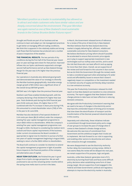*"Meridian's position as a leader in sustainability has allowed us to attract and retain customers who have similar values and are deeply concerned about the environment. This year Meridian was again named as one of New Zealand's most sustainable brands in the Colmar Brunton Better Futures report."*

Drought and floods are part of our business and we continue to learn and adapt our risk management practices to get better at managing difficult trading conditions. We think this is apparent in the relatively stable and strong cash flows that the business has produced over a number of years irrespective of the weather.

**THE FINANCIAL RESULTS.** The two periods of dry conditions during the first half of the financial year meant year-on-year earnings were down for that period. Improved inflows into our hydro catchments supported a stronger second-half performance and all up New Zealand Energy Margin for the year was 0.4% higher than the previous financial year.

Our operations in Australia also delivered good growth and demonstrated the value of our strategy to diversify the Meridian business geographically. Australian energy margin growth of \$12 million was a significant driver of the overall Group EBITDAF growth.

EBITDAF was 1.4% higher than the previous financial year.

Resilient cash flows enabled dividend growth, with the company declaring a final dividend 3% higher than last year. Total dividends paid during the 2018 financial year were 18.96 cents per share, 2% higher than in FY17. Combined with the 7% increase in share price during FY18, this amounted to a total shareholder return (TSR) of 14% in the year to 30 June 2018.

Meridian has also declared a final special dividend of 2.44 cents per share (\$6.25 million) under the company's existing five-year capital management programme to return \$625 million to shareholders. While the company's existing five-year capital management programme runs through to 2020, the Board is considering the medium-term outlook and future capital requirements of the business. Under current circumstances the Board considers it appropriate to signal now its intention to pursue a further two years of capital management beginning in August 2020, seeking to return a further \$250 million to shareholders.

The Board will continue to consider its intention to extend the capital management programme in light of possible future impacts to the financial position of the company and alternative uses of capital.

**NEAR TERM OUTLOOK.** We finished the year in good shape from a hydro storage perspective. We are well positioned to see out the remaining winter months before the spring snow melts start to arrive in the lakes.

In March, the Government released terms of reference for a review of the price of electricity in New Zealand. Meridian believes that the New Zealand electricity market is largely delivering fair, efficient, reliable and sustainable outcomes for New Zealand consumers. We believe distribution pricing reform should if possible be accelerated to ensure that economic price signals are in play to support appropriate investment in new technologies such as rooftop solar and EVs, and to avoid the risk that those who can least afford it end up paying for more than their share. Overall, we are supportive of the review and look forward to the outcome in due course. But we do think the Government (through the review) needs to take a considered approach when attempting to fix wider social and affordability issues to ensure that it doesn't negatively impact on competition or the investment needed to maintain security of supply and thereby delay transition to a low-emissions economy.

This year the Productivity Commission released its draft report on how New Zealand can transition to a low-emissions economy. The report suggests that New Zealand climate change policies to date have not been effective in reducing domestic emissions.

We agree with the Productivity Commission's warning that we need to be wary of changes in the electricity sector that have the unintended impact of driving price increases that slow down the electrification of transport and the transformation of the thermal-powered industrial plant in this country.

Separately and collectively, these initiatives indicate a commitment through Government policy and a range of user groups to increase the pace of change when it comes to New Zealand's climate change actions. We welcome this new tone of commitment from Government and the ambitious targets that it looks set to implement. We look forward to our role in supporting and enabling other sectors to decarbonise and reduce their emissions through renewables.

We were disappointed to see the Electricity Authority further delay the transmission pricing review. Whilst it now seems likely the review will be delayed into next year, we remain supportive of its purpose, logic and goals.

Australia, unlike New Zealand, generates most of it's electricity by burning fossil fuels and faces some difficult policy decisions when establishing some form of clean energy target. We are supportive of and engaged in the Federal and State Governments' political and regulatory attempts to improve the electricity market in Australia.